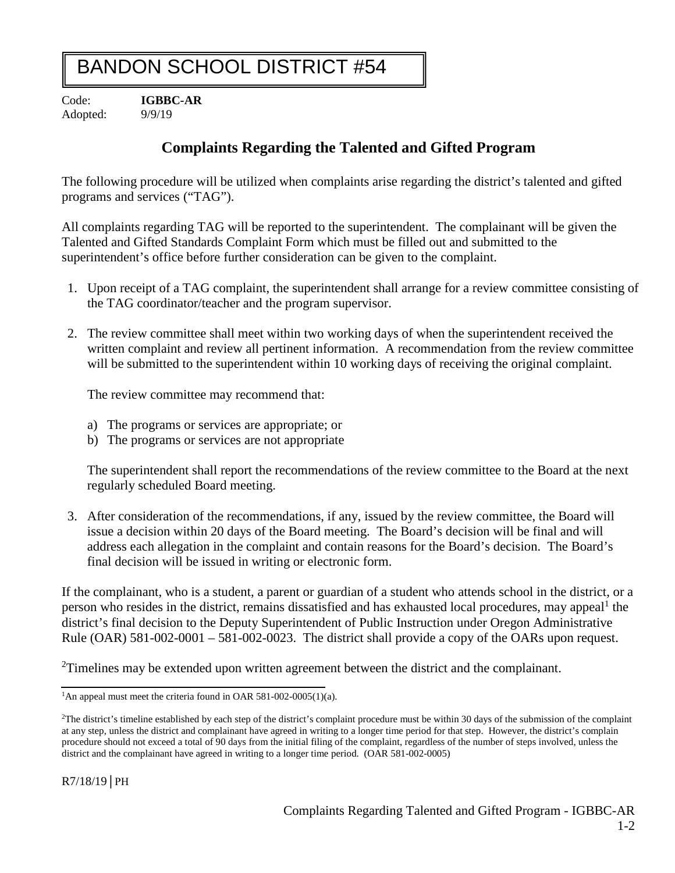## BANDON SCHOOL DISTRICT #54

Code: **IGBBC-AR** Adopted: 9/9/19

## **Complaints Regarding the Talented and Gifted Program**

The following procedure will be utilized when complaints arise regarding the district's talented and gifted programs and services ("TAG").

All complaints regarding TAG will be reported to the superintendent. The complainant will be given the Talented and Gifted Standards Complaint Form which must be filled out and submitted to the superintendent's office before further consideration can be given to the complaint.

- 1. Upon receipt of a TAG complaint, the superintendent shall arrange for a review committee consisting of the TAG coordinator/teacher and the program supervisor.
- 2. The review committee shall meet within two working days of when the superintendent received the written complaint and review all pertinent information. A recommendation from the review committee will be submitted to the superintendent within 10 working days of receiving the original complaint.

The review committee may recommend that:

- a) The programs or services are appropriate; or
- b) The programs or services are not appropriate

The superintendent shall report the recommendations of the review committee to the Board at the next regularly scheduled Board meeting.

3. After consideration of the recommendations, if any, issued by the review committee, the Board will issue a decision within 20 days of the Board meeting. The Board's decision will be final and will address each allegation in the complaint and contain reasons for the Board's decision. The Board's final decision will be issued in writing or electronic form.

If the complainant, who is a student, a parent or guardian of a student who attends school in the district, or a person who resides in the district, remains dissatisfied and has exhausted local procedures, may appeal<sup>1</sup> the district's final decision to the Deputy Superintendent of Public Instruction under Oregon Administrative Rule (OAR) 581-002-0001 – 581-002-0023. The district shall provide a copy of the OARs upon request.

 $2$ Timelines may be extended upon written agreement between the district and the complainant.

<sup>&</sup>lt;sup>1</sup>An appeal must meet the criteria found in OAR 581-002-0005(1)(a).

 ${}^{2}$ The district's timeline established by each step of the district's complaint procedure must be within 30 days of the submission of the complaint at any step, unless the district and complainant have agreed in writing to a longer time period for that step. However, the district's complain procedure should not exceed a total of 90 days from the initial filing of the complaint, regardless of the number of steps involved, unless the district and the complainant have agreed in writing to a longer time period. (OAR 581-002-0005)